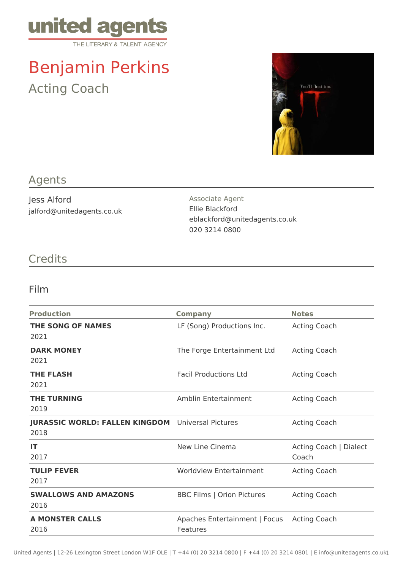

# Benjamin Perkins Acting Coach



## Agents

Jess Alford jalford@unitedagents.co.uk Associate Agent Ellie Blackford eblackford@unitedagents.co.uk 020 3214 0800

## **Credits**

#### Film

| <b>Production</b>                                                | <b>Company</b>                            | <b>Notes</b>                    |
|------------------------------------------------------------------|-------------------------------------------|---------------------------------|
| <b>THE SONG OF NAMES</b><br>2021                                 | LF (Song) Productions Inc.                | <b>Acting Coach</b>             |
| <b>DARK MONEY</b><br>2021                                        | The Forge Entertainment Ltd               | <b>Acting Coach</b>             |
| <b>THE FLASH</b><br>2021                                         | <b>Facil Productions Ltd</b>              | <b>Acting Coach</b>             |
| <b>THE TURNING</b><br>2019                                       | Amblin Entertainment                      | <b>Acting Coach</b>             |
| <b>JURASSIC WORLD: FALLEN KINGDOM</b> Universal Pictures<br>2018 |                                           | <b>Acting Coach</b>             |
| IT<br>2017                                                       | New Line Cinema                           | Acting Coach   Dialect<br>Coach |
| <b>TULIP FEVER</b><br>2017                                       | <b>Worldview Entertainment</b>            | <b>Acting Coach</b>             |
| <b>SWALLOWS AND AMAZONS</b><br>2016                              | <b>BBC Films   Orion Pictures</b>         | <b>Acting Coach</b>             |
| <b>A MONSTER CALLS</b><br>2016                                   | Apaches Entertainment   Focus<br>Features | <b>Acting Coach</b>             |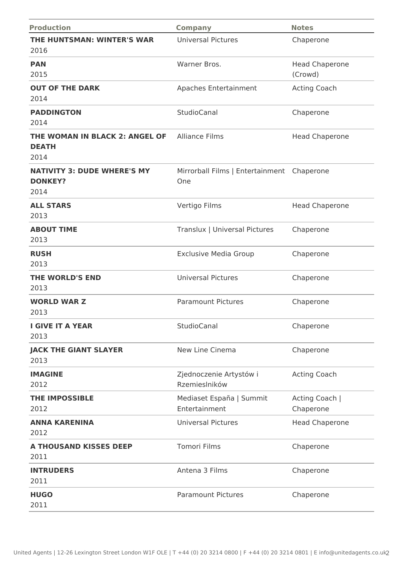| <b>Production</b>                                            | <b>Company</b>                                    | <b>Notes</b>                     |
|--------------------------------------------------------------|---------------------------------------------------|----------------------------------|
| THE HUNTSMAN: WINTER'S WAR<br>2016                           | <b>Universal Pictures</b>                         | Chaperone                        |
| <b>PAN</b><br>2015                                           | Warner Bros.                                      | <b>Head Chaperone</b><br>(Crowd) |
| <b>OUT OF THE DARK</b><br>2014                               | Apaches Entertainment                             | <b>Acting Coach</b>              |
| <b>PADDINGTON</b><br>2014                                    | <b>StudioCanal</b>                                | Chaperone                        |
| THE WOMAN IN BLACK 2: ANGEL OF<br><b>DEATH</b><br>2014       | <b>Alliance Films</b>                             | <b>Head Chaperone</b>            |
| <b>NATIVITY 3: DUDE WHERE'S MY</b><br><b>DONKEY?</b><br>2014 | Mirrorball Films   Entertainment Chaperone<br>One |                                  |
| <b>ALL STARS</b><br>2013                                     | Vertigo Films                                     | <b>Head Chaperone</b>            |
| <b>ABOUT TIME</b><br>2013                                    | Translux   Universal Pictures                     | Chaperone                        |
| <b>RUSH</b><br>2013                                          | <b>Exclusive Media Group</b>                      | Chaperone                        |
| THE WORLD'S END<br>2013                                      | <b>Universal Pictures</b>                         | Chaperone                        |
| <b>WORLD WAR Z</b><br>2013                                   | <b>Paramount Pictures</b>                         | Chaperone                        |
| <b>I GIVE IT A YEAR</b><br>2013                              | StudioCanal                                       | Chaperone                        |
| <b>JACK THE GIANT SLAYER</b><br>2013                         | New Line Cinema                                   | Chaperone                        |
| <b>IMAGINE</b><br>2012                                       | Zjednoczenie Artystów i<br>Rzemieslników          | <b>Acting Coach</b>              |
| <b>THE IMPOSSIBLE</b><br>2012                                | Mediaset España   Summit<br>Entertainment         | Acting Coach  <br>Chaperone      |
| <b>ANNA KARENINA</b><br>2012                                 | <b>Universal Pictures</b>                         | <b>Head Chaperone</b>            |
| <b>A THOUSAND KISSES DEEP</b><br>2011                        | <b>Tomori Films</b>                               | Chaperone                        |
| <b>INTRUDERS</b><br>2011                                     | Antena 3 Films                                    | Chaperone                        |
| <b>HUGO</b><br>2011                                          | <b>Paramount Pictures</b>                         | Chaperone                        |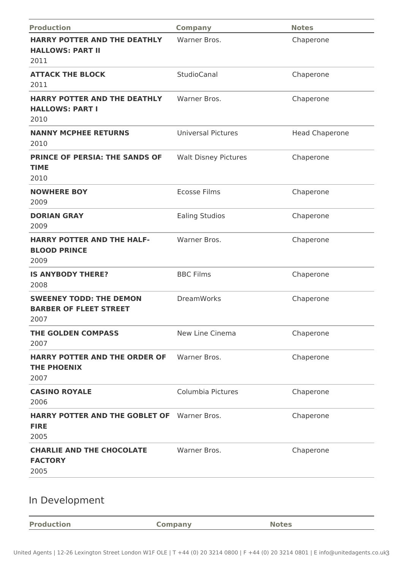| <b>Production</b>                                                         | <b>Company</b>              | <b>Notes</b>          |
|---------------------------------------------------------------------------|-----------------------------|-----------------------|
| <b>HARRY POTTER AND THE DEATHLY</b><br><b>HALLOWS: PART II</b><br>2011    | Warner Bros.                | Chaperone             |
| <b>ATTACK THE BLOCK</b><br>2011                                           | StudioCanal                 | Chaperone             |
| <b>HARRY POTTER AND THE DEATHLY</b><br><b>HALLOWS: PART I</b><br>2010     | Warner Bros.                | Chaperone             |
| <b>NANNY MCPHEE RETURNS</b><br>2010                                       | <b>Universal Pictures</b>   | <b>Head Chaperone</b> |
| <b>PRINCE OF PERSIA: THE SANDS OF</b><br><b>TIME</b><br>2010              | <b>Walt Disney Pictures</b> | Chaperone             |
| <b>NOWHERE BOY</b><br>2009                                                | <b>Ecosse Films</b>         | Chaperone             |
| <b>DORIAN GRAY</b><br>2009                                                | <b>Ealing Studios</b>       | Chaperone             |
| <b>HARRY POTTER AND THE HALF-</b><br><b>BLOOD PRINCE</b><br>2009          | Warner Bros.                | Chaperone             |
| <b>IS ANYBODY THERE?</b><br>2008                                          | <b>BBC Films</b>            | Chaperone             |
| <b>SWEENEY TODD: THE DEMON</b><br><b>BARBER OF FLEET STREET</b><br>2007   | <b>DreamWorks</b>           | Chaperone             |
| THE GOLDEN COMPASS<br>2007                                                | New Line Cinema             | Chaperone             |
| <b>HARRY POTTER AND THE ORDER OF</b><br><b>THE PHOENIX</b><br>2007        | Warner Bros.                | Chaperone             |
| <b>CASINO ROYALE</b><br>2006                                              | Columbia Pictures           | Chaperone             |
| <b>HARRY POTTER AND THE GOBLET OF Warner Bros.</b><br><b>FIRE</b><br>2005 |                             | Chaperone             |
| <b>CHARLIE AND THE CHOCOLATE</b><br><b>FACTORY</b><br>2005                | Warner Bros.                | Chaperone             |
| In Development                                                            |                             |                       |

**Production Company Notes**